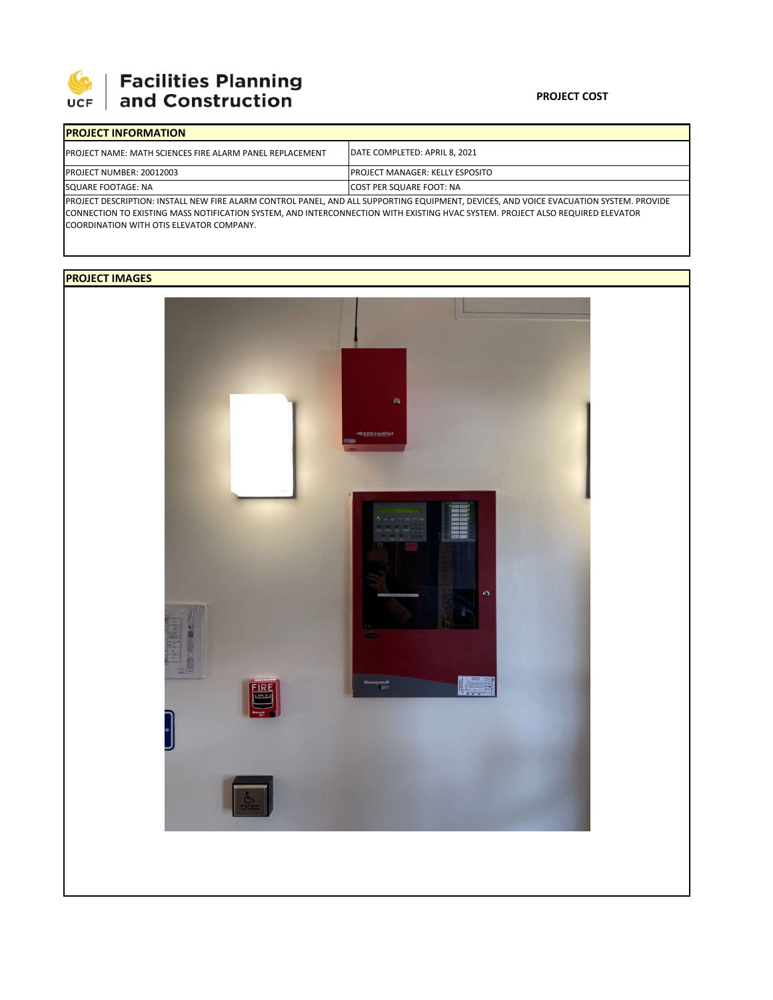

## | Facilities Planning<br>| and Construction

| <b>IPROJECT INFORMATION</b>                                                                                                            |                                         |  |  |  |
|----------------------------------------------------------------------------------------------------------------------------------------|-----------------------------------------|--|--|--|
| <b>IPROJECT NAME: MATH SCIENCES FIRE ALARM PANEL REPLACEMENT</b>                                                                       | <b>IDATE COMPLETED: APRIL 8. 2021</b>   |  |  |  |
| <b>PROJECT NUMBER: 20012003</b>                                                                                                        | <b>IPROJECT MANAGER: KELLY ESPOSITO</b> |  |  |  |
| SQUARE FOOTAGE: NA                                                                                                                     | <b>ICOST PER SQUARE FOOT: NA</b>        |  |  |  |
| PROJECT DESCRIPTION: INSTALL NEW FIRE ALARM CONTROL PANEL, AND ALL SUPPORTING EQUIPMENT, DEVICES, AND VOICE EVACUATION SYSTEM. PROVIDE |                                         |  |  |  |

CONNECTION TO EXISTING MASS NOTIFICATION SYSTEM, AND INTERCONNECTION WITH EXISTING HVAC SYSTEM. PROJECT ALSO REQUIRED ELEVATOR COORDINATION WITH OTIS ELEVATOR COMPANY.

## **PROJECT IMAGES**